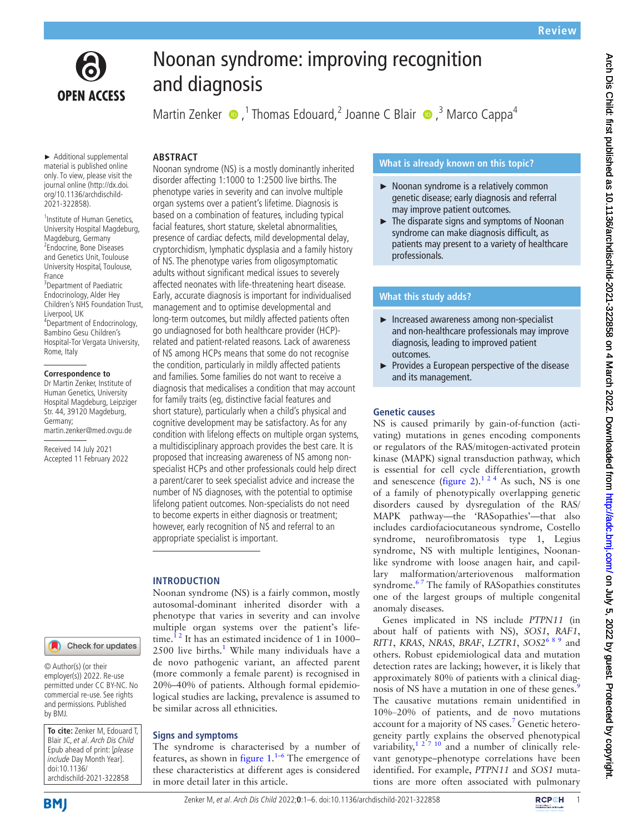



# Noonan syndrome: improving recognition and diagnosis

Martin Zenker  $\bullet$ , Thomas Edouard, 2 Joanne C Blair  $\bullet$ , 3 Marco Cappa<sup>4</sup>

# **ABSTRACT**

► Additional supplemental material is published online only. To view, please visit the journal online ([http://dx.doi.](http://dx.doi.org/10.1136/archdischild-2021-322858) [org/10.1136/archdischild-](http://dx.doi.org/10.1136/archdischild-2021-322858)[2021-322858\)](http://dx.doi.org/10.1136/archdischild-2021-322858).

1 Institute of Human Genetics, University Hospital Magdeburg, Magdeburg, Germany 2 Endocrine, Bone Diseases and Genetics Unit, Toulouse University Hospital, Toulouse, France <sup>3</sup>Department of Paediatric Endocrinology, Alder Hey Children's NHS Foundation Trust, Liverpool, UK 4 Department of Endocrinology, Bambino Gesu Children's Hospital-Tor Vergata University, Rome, Italy

#### **Correspondence to**

Dr Martin Zenker, Institute of Human Genetics, University Hospital Magdeburg, Leipziger Str. 44, 39120 Magdeburg, Germany; martin.zenker@med.ovgu.de

Received 14 July 2021 Accepted 11 February 2022

# Check for updates

© Author(s) (or their employer(s)) 2022. Re-use permitted under CC BY-NC. No commercial re-use. See rights and permissions. Published by BMJ.

**To cite:** Zenker M, Edouard T, Blair JC, et al. Arch Dis Child Epub ahead of print: [please include Day Month Year]. doi:10.1136/ archdischild-2021-322858

Noonan syndrome (NS) is a mostly dominantly inherited disorder affecting 1:1000 to 1:2500 live births. The phenotype varies in severity and can involve multiple organ systems over a patient's lifetime. Diagnosis is based on a combination of features, including typical facial features, short stature, skeletal abnormalities, presence of cardiac defects, mild developmental delay, cryptorchidism, lymphatic dysplasia and a family history of NS. The phenotype varies from oligosymptomatic adults without significant medical issues to severely affected neonates with life-threatening heart disease. Early, accurate diagnosis is important for individualised management and to optimise developmental and long-term outcomes, but mildly affected patients often go undiagnosed for both healthcare provider (HCP) related and patient-related reasons. Lack of awareness of NS among HCPs means that some do not recognise the condition, particularly in mildly affected patients and families. Some families do not want to receive a diagnosis that medicalises a condition that may account for family traits (eg, distinctive facial features and short stature), particularly when a child's physical and cognitive development may be satisfactory. As for any condition with lifelong effects on multiple organ systems, a multidisciplinary approach provides the best care. It is proposed that increasing awareness of NS among nonspecialist HCPs and other professionals could help direct a parent/carer to seek specialist advice and increase the number of NS diagnoses, with the potential to optimise lifelong patient outcomes. Non-specialists do not need to become experts in either diagnosis or treatment; however, early recognition of NS and referral to an appropriate specialist is important.

# **INTRODUCTION**

Noonan syndrome (NS) is a fairly common, mostly autosomal-dominant inherited disorder with a phenotype that varies in severity and can involve multiple organ systems over the patient's lifetime.<sup>12</sup> It has an estimated incidence of 1 in 1000–  $2500$  live births.<sup>[1](#page-4-0)</sup> While many individuals have a de novo pathogenic variant, an affected parent (more commonly a female parent) is recognised in 20%–40% of patients. Although formal epidemiological studies are lacking, prevalence is assumed to be similar across all ethnicities.

# **Signs and symptoms**

The syndrome is characterised by a number of features, as shown in [figure](#page-1-0)  $1^{1-6}$  The emergence of these characteristics at different ages is considered in more detail later in this article.

# **What is already known on this topic?**

- ► Noonan syndrome is a relatively common genetic disease; early diagnosis and referral may improve patient outcomes.
- ► The disparate signs and symptoms of Noonan syndrome can make diagnosis difficult, as patients may present to a variety of healthcare professionals.

# **What this study adds?**

- ► Increased awareness among non-specialist and non-healthcare professionals may improve diagnosis, leading to improved patient outcomes.
- ► Provides a European perspective of the disease and its management.

# **Genetic causes**

NS is caused primarily by gain-of-function (activating) mutations in genes encoding components or regulators of the RAS/mitogen-activated protein kinase (MAPK) signal transduction pathway, which is essential for cell cycle differentiation, growth and senescence ([figure](#page-1-1) 2).<sup>1 2 4</sup> As such, NS is one of a family of phenotypically overlapping genetic disorders caused by dysregulation of the RAS/ MAPK pathway—the 'RASopathies'—that also includes cardiofaciocutaneous syndrome, Costello syndrome, neurofibromatosis type 1, Legius syndrome, NS with multiple lentigines, Noonanlike syndrome with loose anagen hair, and capillary malformation/arteriovenous malformation syndrome.<sup>67</sup> The family of RASopathies constitutes one of the largest groups of multiple congenital anomaly diseases.

Genes implicated in NS include *PTPN11* (in about half of patients with NS), *SOS1*, *RAF1*, *RIT1*, *KRAS*, *NRAS*, *BRAF*, *LZTR1*, *SOS2*[6 8 9](#page-4-1) and others. Robust epidemiological data and mutation detection rates are lacking; however, it is likely that approximately 80% of patients with a clinical diag-nosis of NS have a mutation in one of these genes.<sup>[9](#page-4-2)</sup> The causative mutations remain unidentified in 10%‒20% of patients, and de novo mutations account for a majority of NS cases.<sup>7</sup> Genetic heterogeneity partly explains the observed phenotypical variability,<sup>1 27 10</sup> and a number of clinically relevant genotype–phenotype correlations have been identified. For example, *PTPN11* and *SOS1* mutations are more often associated with pulmonary

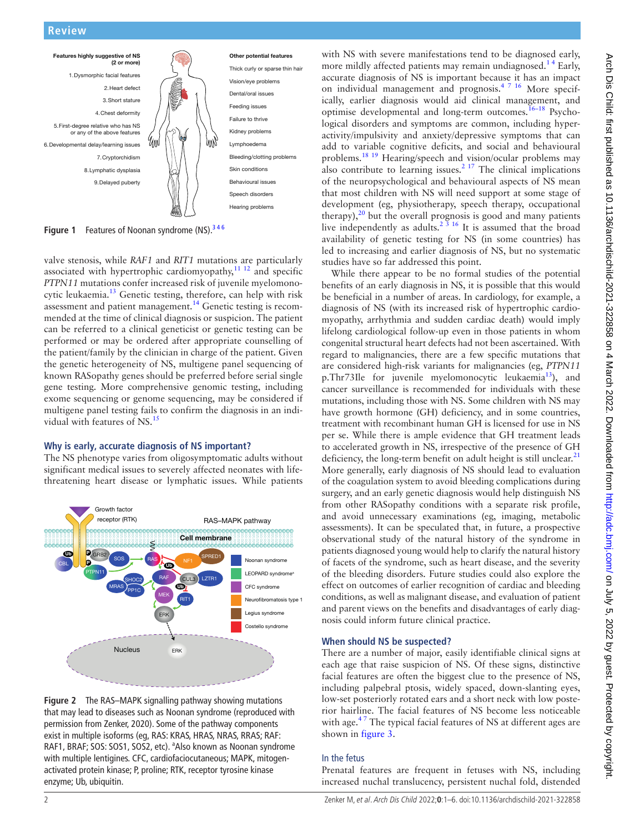

<span id="page-1-0"></span>Figure 1 Features of Noonan syndrome (NS).<sup>346</sup>

valve stenosis, while *RAF1* and *RIT1* mutations are particularly associated with hypertrophic cardiomyopathy, $11 12$  and specific *PTPN11* mutations confer increased risk of juvenile myelomonocytic leukaemia.<sup>13</sup> Genetic testing, therefore, can help with risk assessment and patient management.<sup>[14](#page-4-6)</sup> Genetic testing is recommended at the time of clinical diagnosis or suspicion. The patient can be referred to a clinical geneticist or genetic testing can be performed or may be ordered after appropriate counselling of the patient/family by the clinician in charge of the patient. Given the genetic heterogeneity of NS, multigene panel sequencing of known RASopathy genes should be preferred before serial single gene testing. More comprehensive genomic testing, including exome sequencing or genome sequencing, may be considered if multigene panel testing fails to confirm the diagnosis in an individual with features of NS.<sup>15</sup>

## **Why is early, accurate diagnosis of NS important?**

The NS phenotype varies from oligosymptomatic adults without significant medical issues to severely affected neonates with lifethreatening heart disease or lymphatic issues. While patients



<span id="page-1-1"></span>**Figure 2** The RAS–MAPK signalling pathway showing mutations that may lead to diseases such as Noonan syndrome (reproduced with permission from Zenker, 2020). Some of the pathway components exist in multiple isoforms (eg, RAS: KRAS, HRAS, NRAS, RRAS; RAF: RAF1, BRAF; SOS: SOS1, SOS2, etc). <sup>a</sup>Also known as Noonan syndrome with multiple lentigines. CFC, cardiofaciocutaneous; MAPK, mitogenactivated protein kinase; P, proline; RTK, receptor tyrosine kinase enzyme; Ub, ubiquitin.

with NS with severe manifestations tend to be diagnosed early, more mildly affected patients may remain undiagnosed.<sup>14</sup> Early, accurate diagnosis of NS is important because it has an impact on individual management and prognosis.[4 7 16](#page-4-8) More specifically, earlier diagnosis would aid clinical management, and optimise developmental and long-term outcomes.<sup>16-18</sup> Psychological disorders and symptoms are common, including hyperactivity/impulsivity and anxiety/depressive symptoms that can add to variable cognitive deficits, and social and behavioural problems.[18 19](#page-4-10) Hearing/speech and vision/ocular problems may also contribute to learning issues.<sup>2 17</sup> The clinical implications of the neuropsychological and behavioural aspects of NS mean that most children with NS will need support at some stage of development (eg, physiotherapy, speech therapy, occupational therapy), $2<sup>0</sup>$  but the overall prognosis is good and many patients live independently as adults.<sup>2  $\frac{3}{3}$  16 It is assumed that the broad</sup> availability of genetic testing for NS (in some countries) has led to increasing and earlier diagnosis of NS, but no systematic studies have so far addressed this point.

While there appear to be no formal studies of the potential benefits of an early diagnosis in NS, it is possible that this would be beneficial in a number of areas. In cardiology, for example, a diagnosis of NS (with its increased risk of hypertrophic cardiomyopathy, arrhythmia and sudden cardiac death) would imply lifelong cardiological follow-up even in those patients in whom congenital structural heart defects had not been ascertained. With regard to malignancies, there are a few specific mutations that are considered high-risk variants for malignancies (eg, *PTPN11* p.Thr73Ile for juvenile myelomonocytic leukaemia<sup>[13](#page-4-5)</sup>), and cancer surveillance is recommended for individuals with these mutations, including those with NS. Some children with NS may have growth hormone (GH) deficiency, and in some countries, treatment with recombinant human GH is licensed for use in NS per se. While there is ample evidence that GH treatment leads to accelerated growth in NS, irrespective of the presence of GH deficiency, the long-term benefit on adult height is still unclear.<sup>[21](#page-4-13)</sup> More generally, early diagnosis of NS should lead to evaluation of the coagulation system to avoid bleeding complications during surgery, and an early genetic diagnosis would help distinguish NS from other RASopathy conditions with a separate risk profile, and avoid unnecessary examinations (eg, imaging, metabolic assessments). It can be speculated that, in future, a prospective observational study of the natural history of the syndrome in patients diagnosed young would help to clarify the natural history of facets of the syndrome, such as heart disease, and the severity of the bleeding disorders. Future studies could also explore the effect on outcomes of earlier recognition of cardiac and bleeding conditions, as well as malignant disease, and evaluation of patient and parent views on the benefits and disadvantages of early diagnosis could inform future clinical practice.

# **When should NS be suspected?**

There are a number of major, easily identifiable clinical signs at each age that raise suspicion of NS. Of these signs, distinctive facial features are often the biggest clue to the presence of NS, including palpebral ptosis, widely spaced, down-slanting eyes, low-set posteriorly rotated ears and a short neck with low posterior hairline. The facial features of NS become less noticeable with age.<sup>47</sup> The typical facial features of NS at different ages are shown in [figure](#page-2-0) 3.

## In the fetus

Prenatal features are frequent in fetuses with NS, including increased nuchal translucency, persistent nuchal fold, distended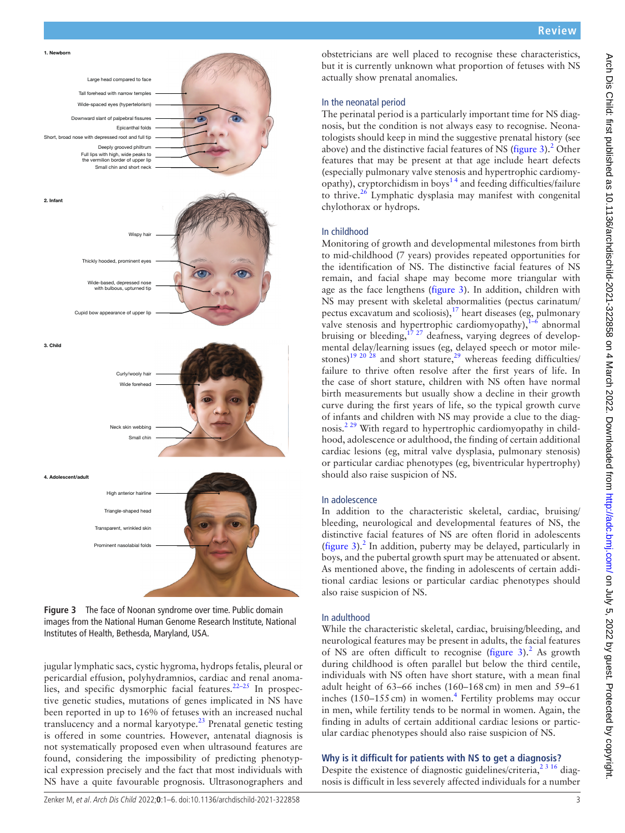

<span id="page-2-0"></span>**Figure 3** The face of Noonan syndrome over time. Public domain images from the National Human Genome Research Institute, National Institutes of Health, Bethesda, Maryland, USA.

jugular lymphatic sacs, cystic hygroma, hydrops fetalis, pleural or pericardial effusion, polyhydramnios, cardiac and renal anomalies, and specific dysmorphic facial features.<sup>22-25</sup> In prospective genetic studies, mutations of genes implicated in NS have been reported in up to 16% of fetuses with an increased nuchal translucency and a normal karyotype. $^{23}$  Prenatal genetic testing is offered in some countries. However, antenatal diagnosis is not systematically proposed even when ultrasound features are found, considering the impossibility of predicting phenotypical expression precisely and the fact that most individuals with NS have a quite favourable prognosis. Ultrasonographers and

obstetricians are well placed to recognise these characteristics, but it is currently unknown what proportion of fetuses with NS actually show prenatal anomalies.

### In the neonatal period

The perinatal period is a particularly important time for NS diagnosis, but the condition is not always easy to recognise. Neonatologists should keep in mind the suggestive prenatal history (see above) and the distinctive facial features of NS [\(figure](#page-2-0)  $3$ ).<sup>[2](#page-4-11)</sup> Other features that may be present at that age include heart defects (especially pulmonary valve stenosis and hypertrophic cardiomyopathy), cryptorchidism in boys<sup>14</sup> and feeding difficulties/failure to thrive.<sup>[26](#page-5-1)</sup> Lymphatic dysplasia may manifest with congenital chylothorax or hydrops.

## In childhood

Monitoring of growth and developmental milestones from birth to mid-childhood (7 years) provides repeated opportunities for the identification of NS. The distinctive facial features of NS remain, and facial shape may become more triangular with age as the face lengthens [\(figure](#page-2-0) 3). In addition, children with NS may present with skeletal abnormalities (pectus carinatum/ pectus excavatum and scoliosis), $17$  heart diseases (eg, pulmonary valve stenosis and hypertrophic cardiomyopathy), $1-6$  abnormal bruising or bleeding,  $1^{7}$   $2^{7}$  deafness, varying degrees of developmental delay/learning issues (eg, delayed speech or motor mile-stones)<sup>19 20 28</sup> and short stature,<sup>[29](#page-5-2)</sup> whereas feeding difficulties/ failure to thrive often resolve after the first years of life. In the case of short stature, children with NS often have normal birth measurements but usually show a decline in their growth curve during the first years of life, so the typical growth curve of infants and children with NS may provide a clue to the diagnosis.<sup>2 29</sup> With regard to hypertrophic cardiomyopathy in childhood, adolescence or adulthood, the finding of certain additional cardiac lesions (eg, mitral valve dysplasia, pulmonary stenosis) or particular cardiac phenotypes (eg, biventricular hypertrophy) should also raise suspicion of NS.

### In adolescence

In addition to the characteristic skeletal, cardiac, bruising/ bleeding, neurological and developmental features of NS, the distinctive facial features of NS are often florid in adolescents ([figure](#page-2-0)  $3$ ).<sup>[2](#page-4-11)</sup> In addition, puberty may be delayed, particularly in boys, and the pubertal growth spurt may be attenuated or absent. As mentioned above, the finding in adolescents of certain additional cardiac lesions or particular cardiac phenotypes should also raise suspicion of NS.

#### In adulthood

While the characteristic skeletal, cardiac, bruising/bleeding, and neurological features may be present in adults, the facial features of NS are often difficult to recognise ([figure](#page-2-0)  $3$ ).<sup>[2](#page-4-11)</sup> As growth during childhood is often parallel but below the third centile, individuals with NS often have short stature, with a mean final adult height of 63–66 inches (160–168cm) in men and 59–61 inches  $(150-155 \text{ cm})$  in women.<sup>[4](#page-4-8)</sup> Fertility problems may occur in men, while fertility tends to be normal in women. Again, the finding in adults of certain additional cardiac lesions or particular cardiac phenotypes should also raise suspicion of NS.

## **Why is it difficult for patients with NS to get a diagnosis?**

Despite the existence of diagnostic guidelines/criteria,  $2^{3}$  16 diagnosis is difficult in less severely affected individuals for a number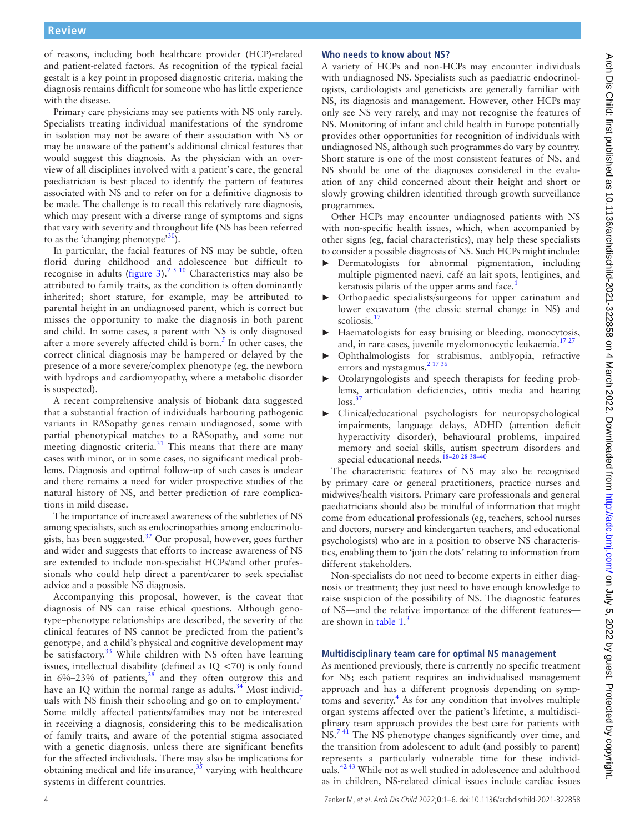of reasons, including both healthcare provider (HCP)-related and patient-related factors. As recognition of the typical facial gestalt is a key point in proposed diagnostic criteria, making the diagnosis remains difficult for someone who has little experience with the disease.

Primary care physicians may see patients with NS only rarely. Specialists treating individual manifestations of the syndrome in isolation may not be aware of their association with NS or may be unaware of the patient's additional clinical features that would suggest this diagnosis. As the physician with an overview of all disciplines involved with a patient's care, the general paediatrician is best placed to identify the pattern of features associated with NS and to refer on for a definitive diagnosis to be made. The challenge is to recall this relatively rare diagnosis, which may present with a diverse range of symptoms and signs that vary with severity and throughout life (NS has been referred to as the 'changing phenotype'<sup>30</sup>).

In particular, the facial features of NS may be subtle, often florid during childhood and adolescence but difficult to recognise in adults ([figure](#page-2-0) 3).<sup>[2 5 10](#page-4-11)</sup> Characteristics may also be attributed to family traits, as the condition is often dominantly inherited; short stature, for example, may be attributed to parental height in an undiagnosed parent, which is correct but misses the opportunity to make the diagnosis in both parent and child. In some cases, a parent with NS is only diagnosed after a more severely affected child is born.<sup>[5](#page-4-18)</sup> In other cases, the correct clinical diagnosis may be hampered or delayed by the presence of a more severe/complex phenotype (eg, the newborn with hydrops and cardiomyopathy, where a metabolic disorder is suspected).

A recent comprehensive analysis of biobank data suggested that a substantial fraction of individuals harbouring pathogenic variants in RASopathy genes remain undiagnosed, some with partial phenotypical matches to a RASopathy, and some not meeting diagnostic criteria. $31$  This means that there are many cases with minor, or in some cases, no significant medical problems. Diagnosis and optimal follow-up of such cases is unclear and there remains a need for wider prospective studies of the natural history of NS, and better prediction of rare complications in mild disease.

The importance of increased awareness of the subtleties of NS among specialists, such as endocrinopathies among endocrinologists, has been suggested.[32](#page-5-5) Our proposal, however, goes further and wider and suggests that efforts to increase awareness of NS are extended to include non-specialist HCPs/and other professionals who could help direct a parent/carer to seek specialist advice and a possible NS diagnosis.

Accompanying this proposal, however, is the caveat that diagnosis of NS can raise ethical questions. Although genotype–phenotype relationships are described, the severity of the clinical features of NS cannot be predicted from the patient's genotype, and a child's physical and cognitive development may be satisfactory. $33$  While children with NS often have learning issues, intellectual disability (defined as IQ <70) is only found in  $6\%$ -23% of patients,<sup>28</sup> and they often outgrow this and have an IQ within the normal range as adults. $34$  Most individ-uals with NS finish their schooling and go on to employment.<sup>[7](#page-4-3)</sup> Some mildly affected patients/families may not be interested in receiving a diagnosis, considering this to be medicalisation of family traits, and aware of the potential stigma associated with a genetic diagnosis, unless there are significant benefits for the affected individuals. There may also be implications for obtaining medical and life insurance, $35$  varying with healthcare systems in different countries.

## **Who needs to know about NS?**

A variety of HCPs and non-HCPs may encounter individuals with undiagnosed NS. Specialists such as paediatric endocrinologists, cardiologists and geneticists are generally familiar with NS, its diagnosis and management. However, other HCPs may only see NS very rarely, and may not recognise the features of NS. Monitoring of infant and child health in Europe potentially provides other opportunities for recognition of individuals with undiagnosed NS, although such programmes do vary by country. Short stature is one of the most consistent features of NS, and NS should be one of the diagnoses considered in the evaluation of any child concerned about their height and short or slowly growing children identified through growth surveillance programmes.

Other HCPs may encounter undiagnosed patients with NS with non-specific health issues, which, when accompanied by other signs (eg, facial characteristics), may help these specialists to consider a possible diagnosis of NS. Such HCPs might include:

- ► Dermatologists for abnormal pigmentation, including multiple pigmented naevi, café au lait spots, lentigines, and keratosis pilaris of the upper arms and face.<sup>1</sup>
- Orthopaedic specialists/surgeons for upper carinatum and lower excavatum (the classic sternal change in NS) and scoliosis.<sup>17</sup>
- Haematologists for easy bruising or bleeding, monocytosis, and, in rare cases, juvenile myelomonocytic leukaemia.<sup>1727</sup>
- ► Ophthalmologists for strabismus, amblyopia, refractive errors and nystagmus.<sup>[2 17 36](#page-4-11)</sup>
- ► Otolaryngologists and speech therapists for feeding problems, articulation deficiencies, otitis media and hearing  $loss.<sup>3</sup>$
- ► Clinical/educational psychologists for neuropsychological impairments, language delays, ADHD (attention deficit hyperactivity disorder), behavioural problems, impaired memory and social skills, autism spectrum disorders and special educational needs.<sup>18-20 28</sup> <sup>38-40</sup>

The characteristic features of NS may also be recognised by primary care or general practitioners, practice nurses and midwives/health visitors. Primary care professionals and general paediatricians should also be mindful of information that might come from educational professionals (eg, teachers, school nurses and doctors, nursery and kindergarten teachers, and educational psychologists) who are in a position to observe NS characteristics, enabling them to 'join the dots' relating to information from different stakeholders.

Non-specialists do not need to become experts in either diagnosis or treatment; they just need to have enough knowledge to raise suspicion of the possibility of NS. The diagnostic features of NS—and the relative importance of the different features are shown in [table](#page-4-19) 1.<sup>[3](#page-4-14)</sup>

## **Multidisciplinary team care for optimal NS management**

As mentioned previously, there is currently no specific treatment for NS; each patient requires an individualised management approach and has a different prognosis depending on symp-toms and severity.<sup>[4](#page-4-8)</sup> As for any condition that involves multiple organ systems affected over the patient's lifetime, a multidisciplinary team approach provides the best care for patients with NS.<sup>741</sup> The NS phenotype changes significantly over time, and the transition from adolescent to adult (and possibly to parent) represents a particularly vulnerable time for these individuals.<sup>42 43</sup> While not as well studied in adolescence and adulthood as in children, NS-related clinical issues include cardiac issues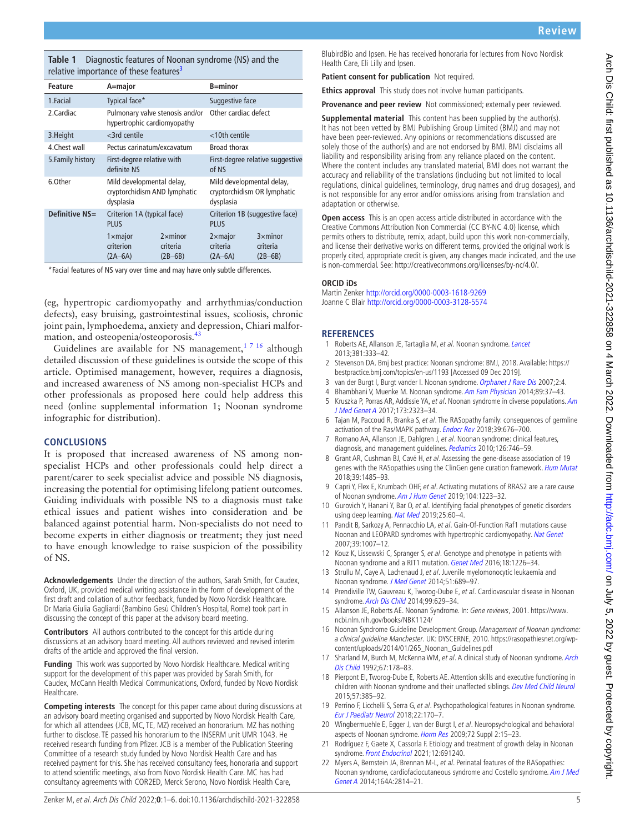<span id="page-4-19"></span>**Table 1** Diagnostic features of Noonan syndrome (NS) and the relative importance of these features<sup>3</sup>

| <b>Feature</b>    | A=major                                                                |                                           | $B = minor$                                                           |                                           |
|-------------------|------------------------------------------------------------------------|-------------------------------------------|-----------------------------------------------------------------------|-------------------------------------------|
| 1.Facial          | Typical face*                                                          |                                           | Suggestive face                                                       |                                           |
| 2.Cardiac         | Pulmonary valve stenosis and/or<br>hypertrophic cardiomyopathy         |                                           | Other cardiac defect                                                  |                                           |
| 3. Height         | $<$ 3rd centile                                                        |                                           | <10th centile                                                         |                                           |
| 4. Chest wall     | Pectus carinatum/excavatum                                             |                                           | <b>Broad thorax</b>                                                   |                                           |
| 5. Family history | First-degree relative with<br>definite NS                              |                                           | First-degree relative suggestive<br>of NS                             |                                           |
| 6.0ther           | Mild developmental delay,<br>cryptorchidism AND lymphatic<br>dysplasia |                                           | Mild developmental delay,<br>cryptorchidism OR lymphatic<br>dysplasia |                                           |
| Definitive NS=    | Criterion 1A (typical face)<br><b>PLUS</b>                             |                                           | Criterion 1B (suggestive face)<br><b>PLUS</b>                         |                                           |
|                   | $1 \times$ major<br>criterion<br>$(2A-6A)$                             | $2 \times$ minor<br>criteria<br>$(2B-6B)$ | $2 \times$ major<br>criteria<br>$(2A-6A)$                             | $3 \times$ minor<br>criteria<br>$(2B-6B)$ |

\*Facial features of NS vary over time and may have only subtle differences.

(eg, hypertropic cardiomyopathy and arrhythmias/conduction defects), easy bruising, gastrointestinal issues, scoliosis, chronic joint pain, lymphoedema, anxiety and depression, Chiari malfor-mation, and osteopenia/osteoporosis.<sup>[43](#page-5-12)</sup>

Guidelines are available for NS management,<sup>1716</sup> although detailed discussion of these guidelines is outside the scope of this article. Optimised management, however, requires a diagnosis, and increased awareness of NS among non-specialist HCPs and other professionals as proposed here could help address this need ([online supplemental information 1](https://dx.doi.org/10.1136/archdischild-2021-322858); Noonan syndrome infographic for distribution).

### **CONCLUSIONS**

It is proposed that increased awareness of NS among nonspecialist HCPs and other professionals could help direct a parent/carer to seek specialist advice and possible NS diagnosis, increasing the potential for optimising lifelong patient outcomes. Guiding individuals with possible NS to a diagnosis must take ethical issues and patient wishes into consideration and be balanced against potential harm. Non-specialists do not need to become experts in either diagnosis or treatment; they just need to have enough knowledge to raise suspicion of the possibility of NS.

**Acknowledgements** Under the direction of the authors, Sarah Smith, for Caudex, Oxford, UK, provided medical writing assistance in the form of development of the first draft and collation of author feedback, funded by Novo Nordisk Healthcare. Dr Maria Giulia Gagliardi (Bambino Gesù Children's Hospital, Rome) took part in discussing the concept of this paper at the advisory board meeting.

**Contributors** All authors contributed to the concept for this article during discussions at an advisory board meeting. All authors reviewed and revised interim drafts of the article and approved the final version.

**Funding** This work was supported by Novo Nordisk Healthcare. Medical writing support for the development of this paper was provided by Sarah Smith, for Caudex, McCann Health Medical Communications, Oxford, funded by Novo Nordisk Healthcare.

**Competing interests** The concept for this paper came about during discussions at an advisory board meeting organised and supported by Novo Nordisk Health Care, for which all attendees (JCB, MC, TE, MZ) received an honorarium. MZ has nothing further to disclose. TE passed his honorarium to the INSERM unit UMR 1043. He received research funding from Pfizer. JCB is a member of the Publication Steering Committee of a research study funded by Novo Nordisk Health Care and has received payment for this. She has received consultancy fees, honoraria and support to attend scientific meetings, also from Novo Nordisk Health Care. MC has had consultancy agreements with COR2ED, Merck Serono, Novo Nordisk Health Care,

BlubirdBio and Ipsen. He has received honoraria for lectures from Novo Nordisk Health Care, Eli Lilly and Ipsen.

**Patient consent for publication** Not required.

**Ethics approval** This study does not involve human participants.

**Provenance and peer review** Not commissioned; externally peer reviewed.

**Supplemental material** This content has been supplied by the author(s). It has not been vetted by BMJ Publishing Group Limited (BMJ) and may not have been peer-reviewed. Any opinions or recommendations discussed are solely those of the author(s) and are not endorsed by BMJ. BMJ disclaims all liability and responsibility arising from any reliance placed on the content. Where the content includes any translated material, BMJ does not warrant the accuracy and reliability of the translations (including but not limited to local regulations, clinical guidelines, terminology, drug names and drug dosages), and is not responsible for any error and/or omissions arising from translation and adaptation or otherwise.

**Open access** This is an open access article distributed in accordance with the Creative Commons Attribution Non Commercial (CC BY-NC 4.0) license, which permits others to distribute, remix, adapt, build upon this work non-commercially, and license their derivative works on different terms, provided the original work is properly cited, appropriate credit is given, any changes made indicated, and the use is non-commercial. See: [http://creativecommons.org/licenses/by-nc/4.0/.](http://creativecommons.org/licenses/by-nc/4.0/)

#### **ORCID iDs**

Martin Zenker<http://orcid.org/0000-0003-1618-9269> Joanne C Blair<http://orcid.org/0000-0003-3128-5574>

#### **REFERENCES**

- <span id="page-4-0"></span>1 Roberts AE, Allanson JE, Tartaglia M, et al. Noonan syndrome. [Lancet](http://dx.doi.org/10.1016/S0140-6736(12)61023-X) 2013;381:333–42.
- <span id="page-4-11"></span>2 Stevenson DA. Bmj best practice: Noonan syndrome: BMJ, 2018. Available: [https://](https://bestpractice.bmj.com/topics/en-us/1193) [bestpractice.bmj.com/topics/en-us/1193](https://bestpractice.bmj.com/topics/en-us/1193) [Accessed 09 Dec 2019].
- <span id="page-4-14"></span>3 van der Burgt I, Burgt vander I. Noonan syndrome. [Orphanet J Rare Dis](http://dx.doi.org/10.1186/1750-1172-2-4) 2007;2:4.
- <span id="page-4-8"></span>4 Bhambhani V, Muenke M. Noonan syndrome. [Am Fam Physician](http://www.ncbi.nlm.nih.gov/pubmed/24444506) 2014;89:37-43.
- <span id="page-4-18"></span>5 Kruszka P, Porras AR, Addissie YA, et al. Noonan syndrome in diverse populations. [Am](http://dx.doi.org/10.1002/ajmg.a.38362)  [J Med Genet A](http://dx.doi.org/10.1002/ajmg.a.38362) 2017;173:2323–34.
- <span id="page-4-1"></span>6 Tajan M, Paccoud R, Branka S, et al. The RASopathy family: consequences of germline activation of the Ras/MAPK pathway. [Endocr Rev](http://dx.doi.org/10.1210/er.2017-00232) 2018;39:676–700.
- <span id="page-4-3"></span>Romano AA, Allanson JE, Dahlgren J, et al. Noonan syndrome: clinical features, diagnosis, and management guidelines. [Pediatrics](http://dx.doi.org/10.1542/peds.2009-3207) 2010;126:746-59.
- 8 Grant AR, Cushman BJ, Cavé H, et al. Assessing the gene-disease association of 19 genes with the RASopathies using the ClinGen gene curation framework. [Hum Mutat](http://dx.doi.org/10.1002/humu.23624) 2018;39:1485–93.
- <span id="page-4-2"></span>9 Capri Y, Flex E, Krumbach OHF, et al. Activating mutations of RRAS2 are a rare cause of Noonan syndrome. [Am J Hum Genet](http://dx.doi.org/10.1016/j.ajhg.2019.04.013) 2019;104:1223-32.
- 10 Gurovich Y, Hanani Y, Bar O, et al. Identifying facial phenotypes of genetic disorders using deep learning. [Nat Med](http://dx.doi.org/10.1038/s41591-018-0279-0) 2019;25:60-4.
- <span id="page-4-4"></span>11 Pandit B, Sarkozy A, Pennacchio LA, et al. Gain-Of-Function Raf1 mutations cause Noonan and LEOPARD syndromes with hypertrophic cardiomyopathy. [Nat Genet](http://dx.doi.org/10.1038/ng2073) 2007;39:1007–12.
- 12 Kouz K, Lissewski C, Spranger S, et al. Genotype and phenotype in patients with Noonan syndrome and a RIT1 mutation. [Genet Med](http://dx.doi.org/10.1038/gim.2016.32) 2016;18:1226–34.
- <span id="page-4-5"></span>13 Strullu M, Caye A, Lachenaud J, et al. Juvenile myelomonocytic leukaemia and Noonan syndrome. [J Med Genet](http://dx.doi.org/10.1136/jmedgenet-2014-102611) 2014;51:689–97.
- <span id="page-4-6"></span>14 Prendiville TW, Gauvreau K, Tworog-Dube E, et al. Cardiovascular disease in Noonan syndrome. [Arch Dis Child](http://dx.doi.org/10.1136/archdischild-2013-305047) 2014;99:629–34.
- <span id="page-4-7"></span>15 Allanson JE, Roberts AE. Noonan Syndrome. In: Gene reviews, 2001. [https://www.](https://www.ncbi.nlm.nih.gov/books/NBK1124/) [ncbi.nlm.nih.gov/books/NBK1124/](https://www.ncbi.nlm.nih.gov/books/NBK1124/)
- <span id="page-4-9"></span>16 Noonan Syndrome Guideline Development Group. Management of Noonan syndrome: a clinical guideline Manchester. UK: DYSCERNE, 2010. [https://rasopathiesnet.org/wp](https://rasopathiesnet.org/wp-content/uploads/2014/01/265_Noonan_Guidelines.pdf)[content/uploads/2014/01/265\\_Noonan\\_Guidelines.pdf](https://rasopathiesnet.org/wp-content/uploads/2014/01/265_Noonan_Guidelines.pdf)
- <span id="page-4-16"></span>17 Sharland M, Burch M, McKenna WM, et al. A clinical study of Noonan syndrome. Arch [Dis Child](http://dx.doi.org/10.1136/adc.67.2.178) 1992;67:178–83.
- <span id="page-4-10"></span>18 Pierpont EI, Tworog-Dube E, Roberts AE. Attention skills and executive functioning in children with Noonan syndrome and their unaffected siblings. [Dev Med Child Neurol](http://dx.doi.org/10.1111/dmcn.12621) 2015;57:385–92.
- <span id="page-4-17"></span>19 Perrino F, Licchelli S, Serra G, et al. Psychopathological features in Noonan syndrome. [Eur J Paediatr Neurol](http://dx.doi.org/10.1016/j.ejpn.2017.09.009) 2018;22:170–7.
- <span id="page-4-12"></span>20 Wingbermuehle E, Egger J, van der Burgt I, et al. Neuropsychological and behavioral aspects of Noonan syndrome. [Horm Res](http://dx.doi.org/10.1159/000243774) 2009;72 Suppl 2:15-23.
- <span id="page-4-13"></span>21 Rodríguez F, Gaete X, Cassorla F. Etiology and treatment of growth delay in Noonan syndrome. [Front Endocrinol](http://dx.doi.org/10.3389/fendo.2021.691240) 2021;12:691240.
- <span id="page-4-15"></span>22 Myers A, Bernstein JA, Brennan M-L, et al. Perinatal features of the RASopathies: Noonan syndrome, cardiofaciocutaneous syndrome and Costello syndrome. [Am J Med](http://dx.doi.org/10.1002/ajmg.a.36737)  [Genet A](http://dx.doi.org/10.1002/ajmg.a.36737) 2014;164A:2814–21.

Arch Dis Child: first published as 10.1136/archdischild-2021-322858 on 4 March 2022. Downloaded from http://adc.bmj.com/ on July 5, 2022 by guest. Protected by copyright Arch Dis Child: first published as 10.1136/archdischild-2021-322858 on 4 March 2022. Downloaded from <http://adc.bmj.com/> on July 5, 2022 by guest. Protected by copyright.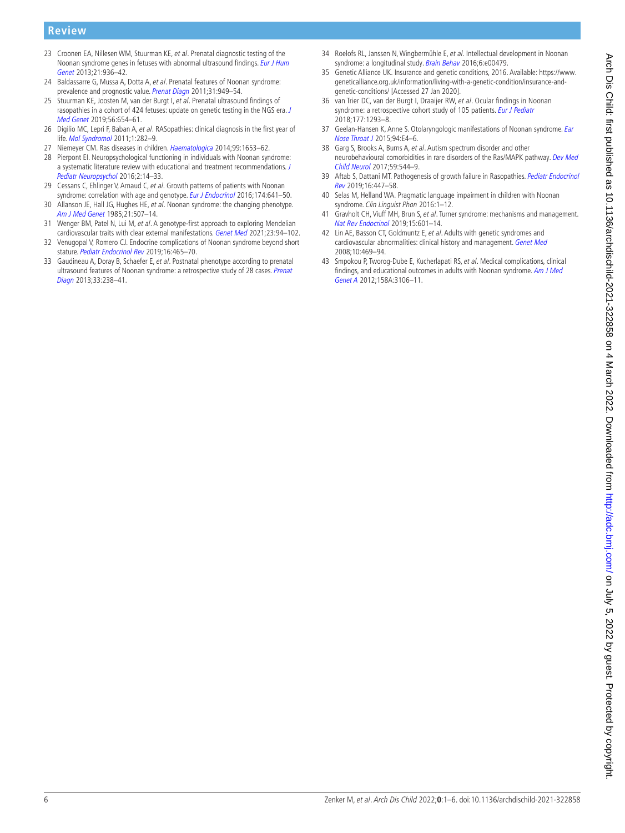# **Review**

- <span id="page-5-0"></span>23 Croonen EA, Nillesen WM, Stuurman KE, et al. Prenatal diagnostic testing of the Noonan syndrome genes in fetuses with abnormal ultrasound findings. Eur J Hum [Genet](http://dx.doi.org/10.1038/ejhg.2012.285) 2013;21:936–42.
- 24 Baldassarre G, Mussa A, Dotta A, et al. Prenatal features of Noonan syndrome: prevalence and prognostic value. [Prenat Diagn](http://dx.doi.org/10.1002/pd.2804) 2011;31:949-54.
- 25 Stuurman KE, Joosten M, van der Burgt I, et al. Prenatal ultrasound findings of rasopathies in a cohort of 424 fetuses: update on genetic testing in the NGS era. J [Med Genet](http://dx.doi.org/10.1136/jmedgenet-2018-105746) 2019;56:654–61.
- <span id="page-5-1"></span>26 Digilio MC, Lepri F, Baban A, et al. RASopathies: clinical diagnosis in the first year of life. [Mol Syndromol](http://dx.doi.org/10.1159/000331266) 2011;1:282–9.
- 27 Niemeyer CM. Ras diseases in children. [Haematologica](http://dx.doi.org/10.3324/haematol.2014.114595) 2014;99:1653-62.
- <span id="page-5-7"></span>28 Pierpont EI. Neuropsychological functioning in individuals with Noonan syndrome: a systematic literature review with educational and treatment recommendations. [J](http://dx.doi.org/10.1007/s40817-015-0005-5)  [Pediatr Neuropsychol](http://dx.doi.org/10.1007/s40817-015-0005-5) 2016;2:14–33.
- <span id="page-5-2"></span>29 Cessans C, Ehlinger V, Arnaud C, et al. Growth patterns of patients with Noonan syndrome: correlation with age and genotype. [Eur J Endocrinol](http://dx.doi.org/10.1530/EJE-15-0922) 2016;174:641-50.
- <span id="page-5-3"></span>30 Allanson JE, Hall JG, Hughes HE, et al. Noonan syndrome: the changing phenotype. [Am J Med Genet](http://dx.doi.org/10.1002/ajmg.1320210313) 1985;21:507–14.
- <span id="page-5-4"></span>31 Wenger BM, Patel N, Lui M, et al. A genotype-first approach to exploring Mendelian cardiovascular traits with clear external manifestations. [Genet Med](http://dx.doi.org/10.1038/s41436-020-00973-2) 2021;23:94–102.
- <span id="page-5-5"></span>32 Venugopal V, Romero CJ. Endocrine complications of Noonan syndrome beyond short stature. [Pediatr Endocrinol Rev](http://dx.doi.org/10.17458/per.vol16.2019.vr.endocrinecomplicationsnoonan) 2019;16:465–70.
- <span id="page-5-6"></span>33 Gaudineau A, Doray B, Schaefer E, et al. Postnatal phenotype according to prenatal ultrasound features of Noonan syndrome: a retrospective study of 28 cases. Prenat [Diagn](http://dx.doi.org/10.1002/pd.4051) 2013;33:238–41.
- <span id="page-5-8"></span>34 Roelofs RL, Janssen N, Wingbermühle E, et al. Intellectual development in Noonan syndrome: a longitudinal study. [Brain Behav](http://dx.doi.org/10.1002/brb3.479) 2016;6:e00479.
- <span id="page-5-9"></span>35 Genetic Alliance UK. Insurance and genetic conditions, 2016. Available: [https://www.](https://www.geneticalliance.org.uk/information/living-with-a-genetic-condition/insurance-and-genetic-conditions/) [geneticalliance.org.uk/information/living-with-a-genetic-condition/insurance-and](https://www.geneticalliance.org.uk/information/living-with-a-genetic-condition/insurance-and-genetic-conditions/)[genetic-conditions/](https://www.geneticalliance.org.uk/information/living-with-a-genetic-condition/insurance-and-genetic-conditions/) [Accessed 27 Jan 2020].
- 36 van Trier DC, van der Burgt I, Draaijer RW, et al. Ocular findings in Noonan syndrome: a retrospective cohort study of 105 patients. [Eur J Pediatr](http://dx.doi.org/10.1007/s00431-018-3183-1) 2018;177:1293–8.
- <span id="page-5-10"></span>37 Geelan-Hansen K, Anne S. Otolaryngologic manifestations of Noonan syndrome. Ear [Nose Throat J](http://www.ncbi.nlm.nih.gov/pubmed/26401682) 2015;94:E4–6.
- 38 Garg S, Brooks A, Burns A, et al. Autism spectrum disorder and other neurobehavioural comorbidities in rare disorders of the Ras/MAPK pathway. [Dev Med](http://dx.doi.org/10.1111/dmcn.13394)  [Child Neurol](http://dx.doi.org/10.1111/dmcn.13394) 2017;59:544–9.
- 39 Aftab S, Dattani MT. Pathogenesis of growth failure in Rasopathies. Pediatr Endocrinol [Rev](http://dx.doi.org/10.17458/per.vol16.2019.ad.pathogenesisrasopathies) 2019;16:447–58.
- 40 Selas M, Helland WA. Pragmatic language impairment in children with Noonan syndrome. Clin Linguist Phon 2016:1-12.
- 41 Gravholt CH, Viuff MH, Brun S, et al. Turner syndrome: mechanisms and management. [Nat Rev Endocrinol](http://dx.doi.org/10.1038/s41574-019-0224-4) 2019;15:601–14.
- <span id="page-5-11"></span>42 Lin AE, Basson CT, Goldmuntz E, et al. Adults with genetic syndromes and cardiovascular abnormalities: clinical history and management. [Genet Med](http://dx.doi.org/10.1097/GIM.0b013e3181772111) 2008;10:469–94.
- <span id="page-5-12"></span>43 Smpokou P, Tworog-Dube E, Kucherlapati RS, et al. Medical complications, clinical findings, and educational outcomes in adults with Noonan syndrome. Am J Med [Genet A](http://dx.doi.org/10.1002/ajmg.a.35639) 2012;158A:3106–11.